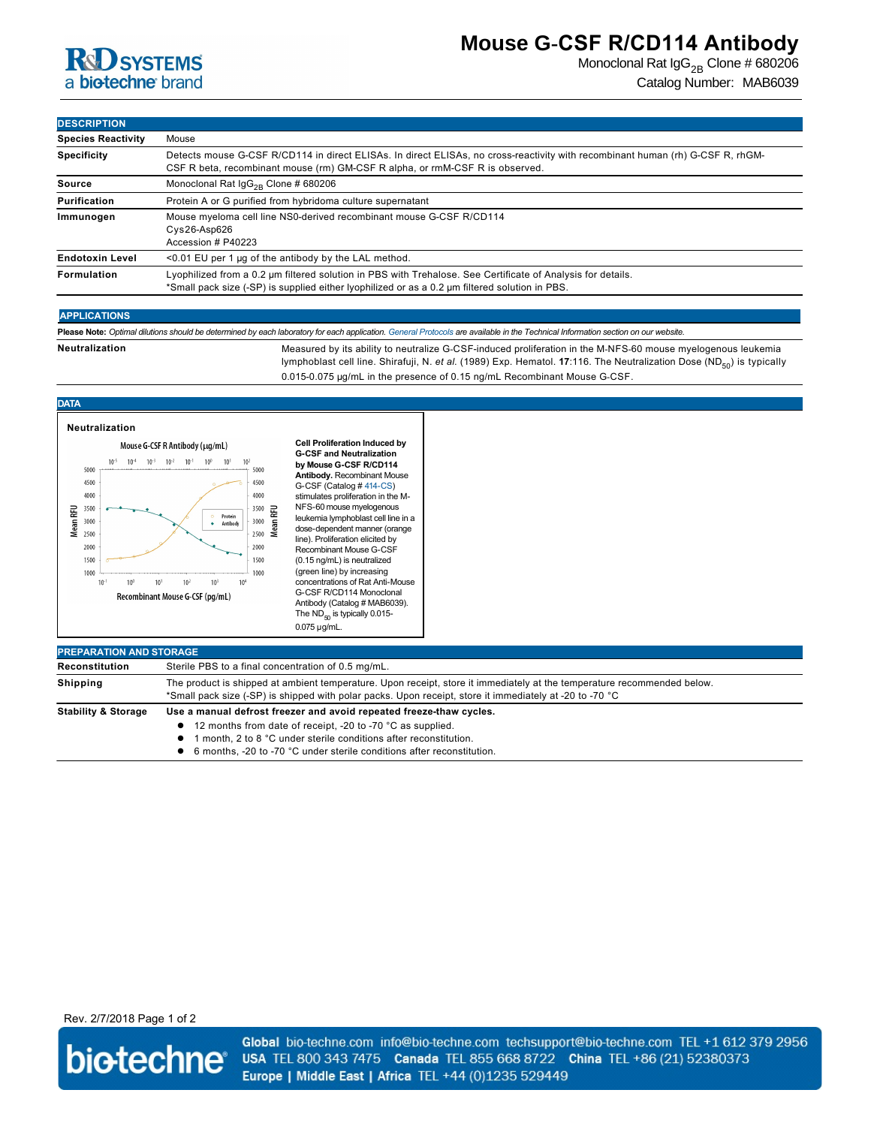

## **Mouse G-CSF R/CD114 Antibody**

Monoclonal Rat  $\lg G_{2B}$  Clone # 680206 Catalog Number: MAB6039

**DESCRIPTION**

| וועו וואפטבע              |                                                                                                                                                                                                                |
|---------------------------|----------------------------------------------------------------------------------------------------------------------------------------------------------------------------------------------------------------|
| <b>Species Reactivity</b> | Mouse                                                                                                                                                                                                          |
| <b>Specificity</b>        | Detects mouse G-CSF R/CD114 in direct ELISAs. In direct ELISAs, no cross-reactivity with recombinant human (rh) G-CSF R, rhGM-<br>CSF R beta, recombinant mouse (rm) GM-CSF R alpha, or rmM-CSF R is observed. |
| Source                    | Monoclonal Rat $\lg G_{2R}$ Clone # 680206                                                                                                                                                                     |
| <b>Purification</b>       | Protein A or G purified from hybridoma culture supernatant                                                                                                                                                     |
| Immunogen                 | Mouse myeloma cell line NS0-derived recombinant mouse G-CSF R/CD114<br>$Cys26-Asp626$<br>Accession # P40223                                                                                                    |
| <b>Endotoxin Level</b>    | $<$ 0.01 EU per 1 µg of the antibody by the LAL method.                                                                                                                                                        |
| Formulation               | Lyophilized from a 0.2 µm filtered solution in PBS with Trehalose. See Certificate of Analysis for details.<br>*Small pack size (-SP) is supplied either lyophilized or as a 0.2 µm filtered solution in PBS.  |
|                           |                                                                                                                                                                                                                |

## **APPLICATIONS**

**Please Note:** *Optimal dilutions should be determined by each laboratory for each application. [General Protocols](http://www.rndsystems.com/resources/protocols-troubleshooting-guides) are available in the Technical Information section on our website.*

Neutralization **Measured by its ability to neutralize G-CSF-induced proliferation in the M-NFS-60 mouse myelogenous leukemia** lymphoblast cell line. Shirafuji, N. *et al.* (1989) Exp. Hematol. 17:116. The Neutralization Dose (ND<sub>50</sub>) is typically

0.015-0.075 µg/mL in the presence of 0.15 ng/mL Recombinant Mouse G-CSF

#### **DATA**



- 12 months from date of receipt, -20 to -70 °C as supplied.
- **1** month, 2 to 8 °C under sterile conditions after reconstitution.
- 6 months, -20 to -70 °C under sterile conditions after reconstitution.

Rev. 2/7/2018 Page 1 of 2



Global bio-techne.com info@bio-techne.com techsupport@bio-techne.com TEL +1 612 379 2956 USA TEL 800 343 7475 Canada TEL 855 668 8722 China TEL +86 (21) 52380373 Europe | Middle East | Africa TEL +44 (0)1235 529449